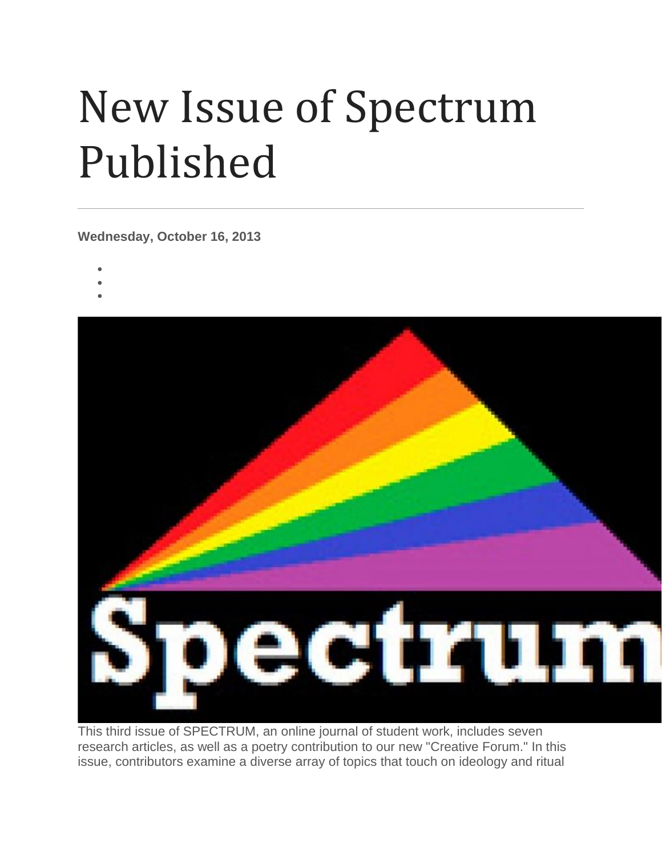## New Issue of Spectrum Published

**Wednesday, October 16, 2013**

- •
- •
- •



This third issue of SPECTRUM, an online journal of student work, includes seven research articles, as well as a poetry contribution to our new "Creative Forum." In this issue, contributors examine a diverse array of topics that touch on ideology and ritual